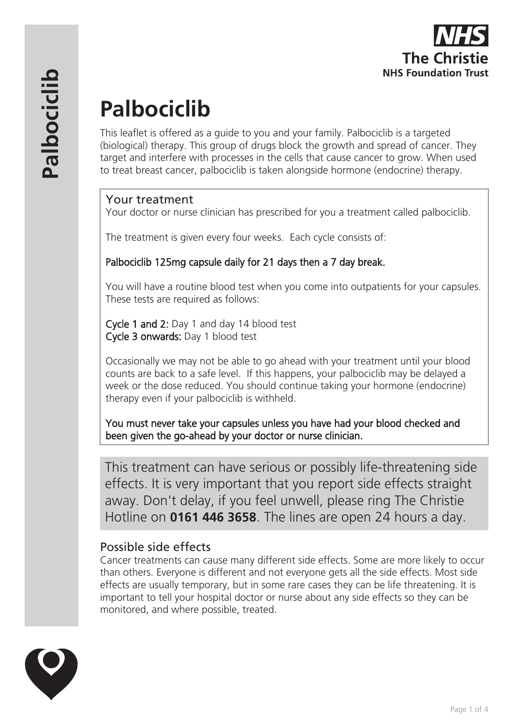

# **Palbociclib**

This leaflet is offered as a guide to you and your family. Palbociclib is a targeted (biological) therapy. This group of drugs block the growth and spread of cancer. They target and interfere with processes in the cells that cause cancer to grow. When used to treat breast cancer, palbociclib is taken alongside hormone (endocrine) therapy.

#### Your treatment

Your doctor or nurse clinician has prescribed for you a treatment called palbociclib.

The treatment is given every four weeks. Each cycle consists of:

## Palbociclib 125mg capsule daily for 21 days then a 7 day break.

You will have a routine blood test when you come into outpatients for your capsules. These tests are required as follows:

Cycle 1 and 2: Day 1 and day 14 blood test Cycle 3 onwards: Day 1 blood test

Occasionally we may not be able to go ahead with your treatment until your blood counts are back to a safe level. If this happens, your palbociclib may be delayed a week or the dose reduced. You should continue taking your hormone (endocrine) therapy even if your palbociclib is withheld.

You must never take your capsules unless you have had your blood checked and been given the go-ahead by your doctor or nurse clinician.

This treatment can have serious or possibly life-threatening side effects. It is very important that you report side effects straight away. Don't delay, if you feel unwell, please ring The Christie Hotline on **0161 446 3658**. The lines are open 24 hours a day.

## Possible side effects

Cancer treatments can cause many different side effects. Some are more likely to occur than others. Everyone is different and not everyone gets all the side effects. Most side effects are usually temporary, but in some rare cases they can be life threatening. It is important to tell your hospital doctor or nurse about any side effects so they can be monitored, and where possible, treated.

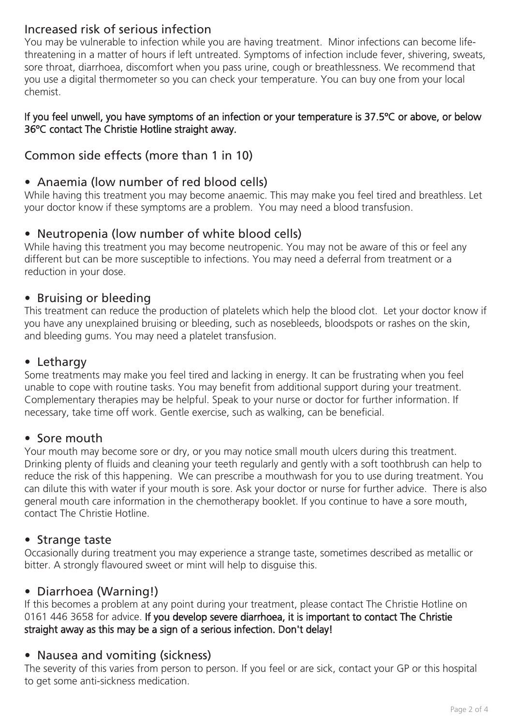# Increased risk of serious infection

You may be vulnerable to infection while you are having treatment. Minor infections can become lifethreatening in a matter of hours if left untreated. Symptoms of infection include fever, shivering, sweats, sore throat, diarrhoea, discomfort when you pass urine, cough or breathlessness. We recommend that you use a digital thermometer so you can check your temperature. You can buy one from your local chemist.

#### If you feel unwell, you have symptoms of an infection or your temperature is 37.5ºC or above, or below 36ºC contact The Christie Hotline straight away.

# Common side effects (more than 1 in 10)

## • Anaemia (low number of red blood cells)

While having this treatment you may become anaemic. This may make you feel tired and breathless. Let your doctor know if these symptoms are a problem. You may need a blood transfusion.

## • Neutropenia (low number of white blood cells)

While having this treatment you may become neutropenic. You may not be aware of this or feel any different but can be more susceptible to infections. You may need a deferral from treatment or a reduction in your dose.

## • Bruising or bleeding

This treatment can reduce the production of platelets which help the blood clot. Let your doctor know if you have any unexplained bruising or bleeding, such as nosebleeds, bloodspots or rashes on the skin, and bleeding gums. You may need a platelet transfusion.

## • Lethargy

Some treatments may make you feel tired and lacking in energy. It can be frustrating when you feel unable to cope with routine tasks. You may benefit from additional support during your treatment. Complementary therapies may be helpful. Speak to your nurse or doctor for further information. If necessary, take time off work. Gentle exercise, such as walking, can be beneficial.

#### • Sore mouth

Your mouth may become sore or dry, or you may notice small mouth ulcers during this treatment. Drinking plenty of fluids and cleaning your teeth regularly and gently with a soft toothbrush can help to reduce the risk of this happening. We can prescribe a mouthwash for you to use during treatment. You can dilute this with water if your mouth is sore. Ask your doctor or nurse for further advice. There is also general mouth care information in the chemotherapy booklet. If you continue to have a sore mouth, contact The Christie Hotline.

#### • Strange taste

Occasionally during treatment you may experience a strange taste, sometimes described as metallic or bitter. A strongly flavoured sweet or mint will help to disguise this.

#### • Diarrhoea (Warning!)

If this becomes a problem at any point during your treatment, please contact The Christie Hotline on 0161 446 3658 for advice. If you develop severe diarrhoea, it is important to contact The Christie straight away as this may be a sign of a serious infection. Don't delay!

## • Nausea and vomiting (sickness)

The severity of this varies from person to person. If you feel or are sick, contact your GP or this hospital to get some anti-sickness medication.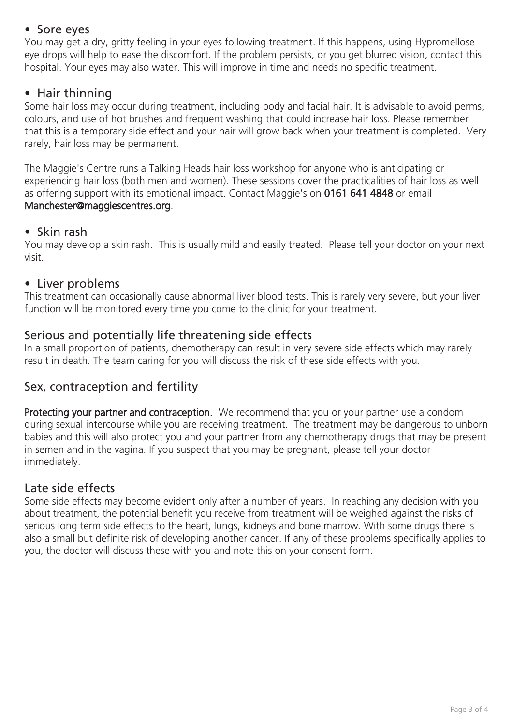#### • Sore eyes

You may get a dry, gritty feeling in your eyes following treatment. If this happens, using Hypromellose eye drops will help to ease the discomfort. If the problem persists, or you get blurred vision, contact this hospital. Your eyes may also water. This will improve in time and needs no specific treatment.

#### • Hair thinning

Some hair loss may occur during treatment, including body and facial hair. It is advisable to avoid perms, colours, and use of hot brushes and frequent washing that could increase hair loss. Please remember that this is a temporary side effect and your hair will grow back when your treatment is completed. Very rarely, hair loss may be permanent.

The Maggie's Centre runs a Talking Heads hair loss workshop for anyone who is anticipating or experiencing hair loss (both men and women). These sessions cover the practicalities of hair loss as well as offering support with its emotional impact. Contact Maggie's on 0161 641 4848 or email Manchester@maggiescentres.org.

#### • Skin rash

You may develop a skin rash. This is usually mild and easily treated. Please tell your doctor on your next visit.

#### • Liver problems

This treatment can occasionally cause abnormal liver blood tests. This is rarely very severe, but your liver function will be monitored every time you come to the clinic for your treatment.

## Serious and potentially life threatening side effects

In a small proportion of patients, chemotherapy can result in very severe side effects which may rarely result in death. The team caring for you will discuss the risk of these side effects with you.

## Sex, contraception and fertility

Protecting your partner and contraception. We recommend that you or your partner use a condom during sexual intercourse while you are receiving treatment. The treatment may be dangerous to unborn babies and this will also protect you and your partner from any chemotherapy drugs that may be present in semen and in the vagina. If you suspect that you may be pregnant, please tell your doctor immediately.

#### Late side effects

Some side effects may become evident only after a number of years. In reaching any decision with you about treatment, the potential benefit you receive from treatment will be weighed against the risks of serious long term side effects to the heart, lungs, kidneys and bone marrow. With some drugs there is also a small but definite risk of developing another cancer. If any of these problems specifically applies to you, the doctor will discuss these with you and note this on your consent form.